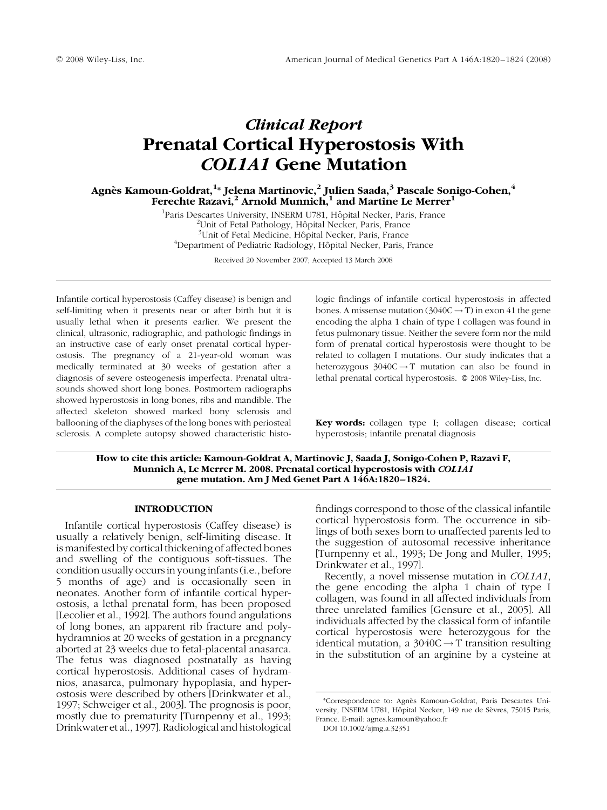# Clinical Report Prenatal Cortical Hyperostosis With COL1A1 Gene Mutation

Agnès Kamoun-Goldrat, $^{1\ast}$  Jelena Martinovic, $^2$  Julien Saada, $^3$  Pascale Sonigo-Cohen, $^4$ Ferechte Razavi,<sup>2</sup> Arnold Munnich,<sup>1</sup> and Martine Le Merrer<sup>1</sup>

<sup>1</sup> Paris Descartes University, INSERM U781, Hôpital Necker, Paris, France  $\frac{27 \text{ I} \text{bit of Beta Database}}{21 \text{ I}}$ <sup>2</sup>Unit of Fetal Pathology, Hôpital Necker, Paris, France  $3$ Unit of Fetal Medicine, Hôpital Necker, Paris, France <sup>4</sup>Department of Pediatric Radiology, Hôpital Necker, Paris, France

Received 20 November 2007; Accepted 13 March 2008

Infantile cortical hyperostosis (Caffey disease) is benign and self-limiting when it presents near or after birth but it is usually lethal when it presents earlier. We present the clinical, ultrasonic, radiographic, and pathologic findings in an instructive case of early onset prenatal cortical hyperostosis. The pregnancy of a 21-year-old woman was medically terminated at 30 weeks of gestation after a diagnosis of severe osteogenesis imperfecta. Prenatal ultrasounds showed short long bones. Postmortem radiographs showed hyperostosis in long bones, ribs and mandible. The affected skeleton showed marked bony sclerosis and ballooning of the diaphyses of the long bones with periosteal sclerosis. A complete autopsy showed characteristic histo-

logic findings of infantile cortical hyperostosis in affected bones. A missense mutation  $(3040C \rightarrow T)$  in exon 41 the gene encoding the alpha 1 chain of type I collagen was found in fetus pulmonary tissue. Neither the severe form nor the mild form of prenatal cortical hyperostosis were thought to be related to collagen I mutations. Our study indicates that a heterozygous  $3040C \rightarrow T$  mutation can also be found in lethal prenatal cortical hyperostosis.  $\circ$  2008 Wiley-Liss, Inc.

Key words: collagen type I; collagen disease; cortical hyperostosis; infantile prenatal diagnosis

How to cite this article: Kamoun-Goldrat A, Martinovic J, Saada J, Sonigo-Cohen P, Razavi F, Munnich A, Le Merrer M. 2008. Prenatal cortical hyperostosis with COL1A1 gene mutation. Am J Med Genet Part A 146A:1820–1824.

#### INTRODUCTION

Infantile cortical hyperostosis (Caffey disease) is usually a relatively benign, self-limiting disease. It is manifested by cortical thickening of affected bones and swelling of the contiguous soft-tissues. The condition usually occurs in young infants (i.e., before 5 months of age) and is occasionally seen in neonates. Another form of infantile cortical hyperostosis, a lethal prenatal form, has been proposed [Lecolier et al., 1992]. The authors found angulations of long bones, an apparent rib fracture and polyhydramnios at 20 weeks of gestation in a pregnancy aborted at 23 weeks due to fetal-placental anasarca. The fetus was diagnosed postnatally as having cortical hyperostosis. Additional cases of hydramnios, anasarca, pulmonary hypoplasia, and hyperostosis were described by others [Drinkwater et al., 1997; Schweiger et al., 2003]. The prognosis is poor, mostly due to prematurity [Turnpenny et al., 1993; Drinkwater et al., 1997]. Radiological and histological

findings correspond to those of the classical infantile cortical hyperostosis form. The occurrence in siblings of both sexes born to unaffected parents led to the suggestion of autosomal recessive inheritance [Turnpenny et al., 1993; De Jong and Muller, 1995; Drinkwater et al., 1997].

Recently, a novel missense mutation in COL1A1, the gene encoding the alpha 1 chain of type I collagen, was found in all affected individuals from three unrelated families [Gensure et al., 2005]. All individuals affected by the classical form of infantile cortical hyperostosis were heterozygous for the identical mutation, a  $3040C \rightarrow T$  transition resulting in the substitution of an arginine by a cysteine at

<sup>\*</sup>Correspondence to: Agne`s Kamoun-Goldrat, Paris Descartes University, INSERM U781, Hôpital Necker, 149 rue de Sèvres, 75015 Paris, France. E-mail: agnes.kamoun@yahoo.fr

DOI 10.1002/ajmg.a.32351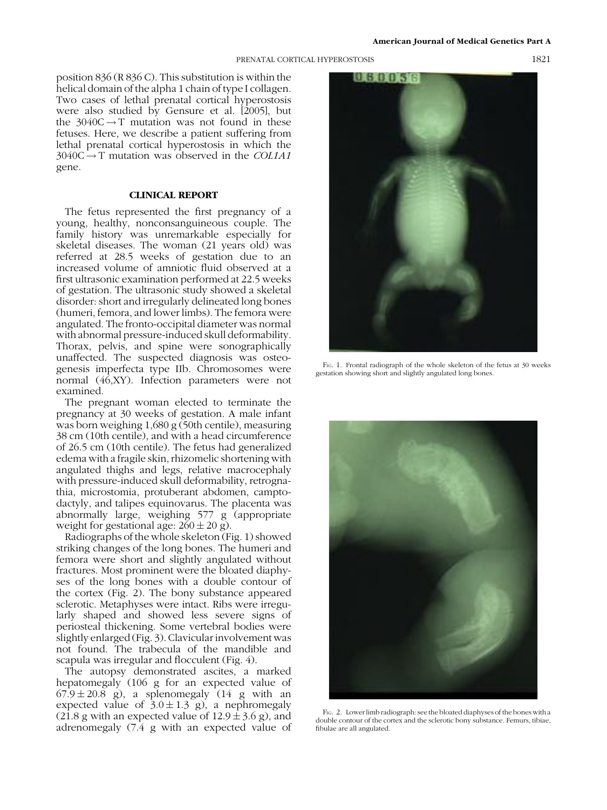#### PRENATAL CORTICAL HYPEROSTOSIS 1821

position 836 (R 836 C). This substitution is within the helical domain of the alpha 1 chain of type I collagen. Two cases of lethal prenatal cortical hyperostosis were also studied by Gensure et al. [2005], but the  $3040C \rightarrow T$  mutation was not found in these fetuses. Here, we describe a patient suffering from lethal prenatal cortical hyperostosis in which the  $3040C \rightarrow T$  mutation was observed in the *COL1A1* gene.

## CLINICAL REPORT

The fetus represented the first pregnancy of a young, healthy, nonconsanguineous couple. The family history was unremarkable especially for skeletal diseases. The woman (21 years old) was referred at 28.5 weeks of gestation due to an increased volume of amniotic fluid observed at a first ultrasonic examination performed at 22.5 weeks of gestation. The ultrasonic study showed a skeletal disorder: short and irregularly delineated long bones (humeri, femora, and lower limbs). The femora were angulated. The fronto-occipital diameter was normal with abnormal pressure-induced skull deformability. Thorax, pelvis, and spine were sonographically unaffected. The suspected diagnosis was osteogenesis imperfecta type IIb. Chromosomes were normal (46,XY). Infection parameters were not examined.

The pregnant woman elected to terminate the pregnancy at 30 weeks of gestation. A male infant was born weighing 1,680 g (50th centile), measuring 38 cm (10th centile), and with a head circumference of 26.5 cm (10th centile). The fetus had generalized edema with a fragile skin, rhizomelic shortening with angulated thighs and legs, relative macrocephaly with pressure-induced skull deformability, retrognathia, microstomia, protuberant abdomen, camptodactyly, and talipes equinovarus. The placenta was abnormally large, weighing 577 g (appropriate weight for gestational age:  $260 \pm 20$  g).

Radiographs of the whole skeleton (Fig. 1) showed striking changes of the long bones. The humeri and femora were short and slightly angulated without fractures. Most prominent were the bloated diaphyses of the long bones with a double contour of the cortex (Fig. 2). The bony substance appeared sclerotic. Metaphyses were intact. Ribs were irregularly shaped and showed less severe signs of periosteal thickening. Some vertebral bodies were slightly enlarged (Fig. 3). Clavicular involvement was not found. The trabecula of the mandible and scapula was irregular and flocculent (Fig. 4).

The autopsy demonstrated ascites, a marked hepatomegaly (106 g for an expected value of  $67.9 \pm 20.8$  g), a splenomegaly (14 g with an expected value of  $3.0 \pm 1.3$  g), a nephromegaly (21.8 g with an expected value of  $12.9 \pm 3.6$  g), and adrenomegaly (7.4 g with an expected value of



F<sub>IG</sub>. 1. Frontal radiograph of the whole skeleton of the fetus at 30 weeks gestation showing short and slightly angulated long bones.



FIG. 2. Lower limb radiograph: see the bloated diaphyses of the bones with a double contour of the cortex and the sclerotic bony substance. Femurs, tibiae, fibulae are all angulated.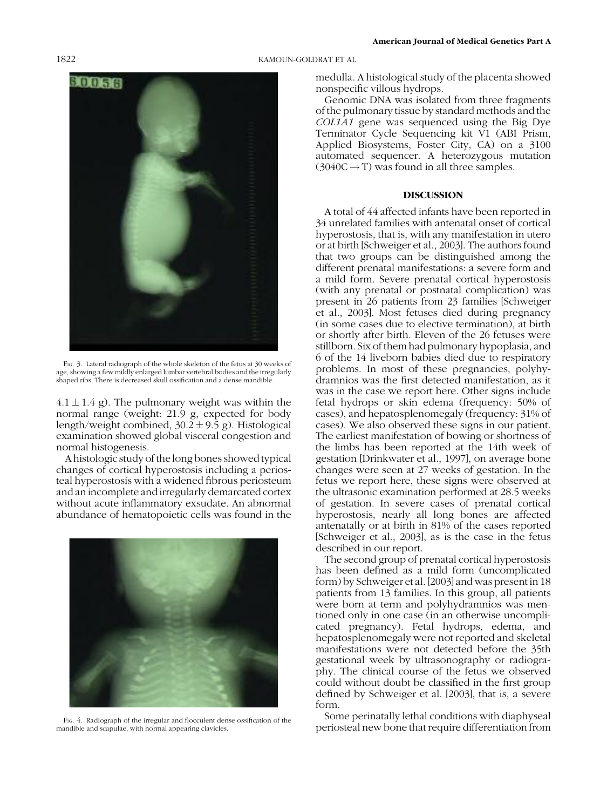

FIG. 3. Lateral radiograph of the whole skeleton of the fetus at 30 weeks of age, showing a few mildly enlarged lumbar vertebral bodies and the irregularly shaped ribs. There is decreased skull ossification and a dense mandible.

 $4.1 \pm 1.4$  g). The pulmonary weight was within the normal range (weight: 21.9 g, expected for body length/weight combined,  $30.2 \pm 9.5$  g). Histological examination showed global visceral congestion and normal histogenesis.

A histologic study of the long bones showed typical changes of cortical hyperostosis including a periosteal hyperostosis with a widened fibrous periosteum and an incomplete and irregularly demarcated cortex without acute inflammatory exsudate. An abnormal abundance of hematopoietic cells was found in the



FIG. 4. Radiograph of the irregular and flocculent dense ossification of the mandible and scapulae, with normal appearing clavicles.

## 1822 KAMOUN-GOLDRAT ET AL.

medulla. A histological study of the placenta showed nonspecific villous hydrops.

Genomic DNA was isolated from three fragments of the pulmonary tissue by standard methods and the COL1A1 gene was sequenced using the Big Dye Terminator Cycle Sequencing kit V1 (ABI Prism, Applied Biosystems, Foster City, CA) on a 3100 automated sequencer. A heterozygous mutation  $(3040C \rightarrow T)$  was found in all three samples.

## DISCUSSION

A total of 44 affected infants have been reported in 34 unrelated families with antenatal onset of cortical hyperostosis, that is, with any manifestation in utero or at birth [Schweiger et al., 2003]. The authors found that two groups can be distinguished among the different prenatal manifestations: a severe form and a mild form. Severe prenatal cortical hyperostosis (with any prenatal or postnatal complication) was present in 26 patients from 23 families [Schweiger et al., 2003]. Most fetuses died during pregnancy (in some cases due to elective termination), at birth or shortly after birth. Eleven of the 26 fetuses were stillborn. Six of them had pulmonary hypoplasia, and 6 of the 14 liveborn babies died due to respiratory problems. In most of these pregnancies, polyhydramnios was the first detected manifestation, as it was in the case we report here. Other signs include fetal hydrops or skin edema (frequency: 50% of cases), and hepatosplenomegaly (frequency: 31% of cases). We also observed these signs in our patient. The earliest manifestation of bowing or shortness of the limbs has been reported at the 14th week of gestation [Drinkwater et al., 1997], on average bone changes were seen at 27 weeks of gestation. In the fetus we report here, these signs were observed at the ultrasonic examination performed at 28.5 weeks of gestation. In severe cases of prenatal cortical hyperostosis, nearly all long bones are affected antenatally or at birth in 81% of the cases reported [Schweiger et al., 2003], as is the case in the fetus described in our report.

The second group of prenatal cortical hyperostosis has been defined as a mild form (uncomplicated form) by Schweiger et al. [2003] and was present in 18 patients from 13 families. In this group, all patients were born at term and polyhydramnios was mentioned only in one case (in an otherwise uncomplicated pregnancy). Fetal hydrops, edema, and hepatosplenomegaly were not reported and skeletal manifestations were not detected before the 35th gestational week by ultrasonography or radiography. The clinical course of the fetus we observed could without doubt be classified in the first group defined by Schweiger et al. [2003], that is, a severe form.

Some perinatally lethal conditions with diaphyseal periosteal new bone that require differentiation from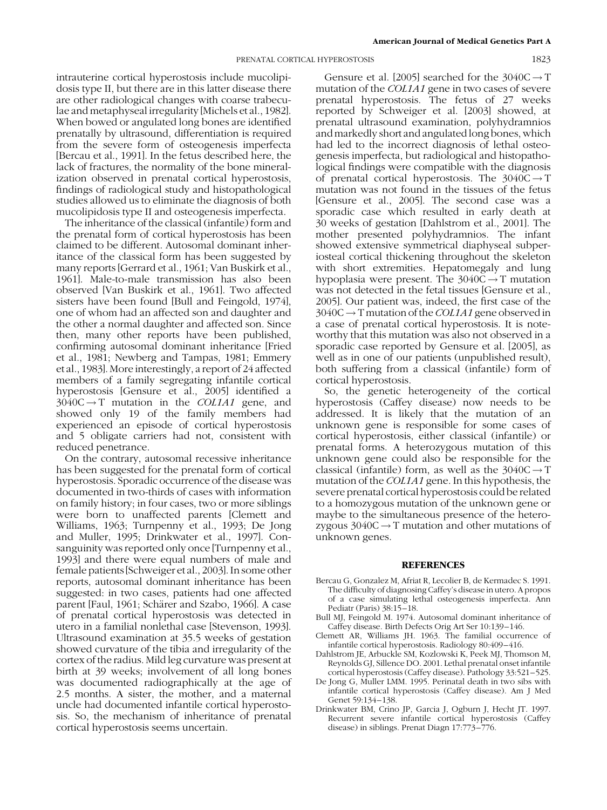intrauterine cortical hyperostosis include mucolipidosis type II, but there are in this latter disease there are other radiological changes with coarse trabeculae and metaphyseal irregularity [Michels et al., 1982]. When bowed or angulated long bones are identified prenatally by ultrasound, differentiation is required from the severe form of osteogenesis imperfecta [Bercau et al., 1991]. In the fetus described here, the lack of fractures, the normality of the bone mineralization observed in prenatal cortical hyperostosis, findings of radiological study and histopathological studies allowed us to eliminate the diagnosis of both mucolipidosis type II and osteogenesis imperfecta.

The inheritance of the classical (infantile) form and the prenatal form of cortical hyperostosis has been claimed to be different. Autosomal dominant inheritance of the classical form has been suggested by many reports [Gerrard et al., 1961; Van Buskirk et al., 1961]. Male-to-male transmission has also been observed [Van Buskirk et al., 1961]. Two affected sisters have been found [Bull and Feingold, 1974], one of whom had an affected son and daughter and the other a normal daughter and affected son. Since then, many other reports have been published, confirming autosomal dominant inheritance [Fried et al., 1981; Newberg and Tampas, 1981; Emmery et al., 1983]. More interestingly, a report of 24 affected members of a family segregating infantile cortical hyperostosis [Gensure et al., 2005] identified a  $3040C \rightarrow T$  mutation in the *COL1A1* gene, and showed only 19 of the family members had experienced an episode of cortical hyperostosis and 5 obligate carriers had not, consistent with reduced penetrance.

On the contrary, autosomal recessive inheritance has been suggested for the prenatal form of cortical hyperostosis. Sporadic occurrence of the disease was documented in two-thirds of cases with information on family history; in four cases, two or more siblings were born to unaffected parents [Clemett and Williams, 1963; Turnpenny et al., 1993; De Jong and Muller, 1995; Drinkwater et al., 1997]. Consanguinity was reported only once [Turnpenny et al., 1993] and there were equal numbers of male and female patients [Schweiger et al., 2003]. In some other reports, autosomal dominant inheritance has been suggested: in two cases, patients had one affected parent [Faul, 1961; Schärer and Szabo, 1966]. A case of prenatal cortical hyperostosis was detected in utero in a familial nonlethal case [Stevenson, 1993]. Ultrasound examination at 35.5 weeks of gestation showed curvature of the tibia and irregularity of the cortex of the radius. Mild leg curvature was present at birth at 39 weeks; involvement of all long bones was documented radiographically at the age of 2.5 months. A sister, the mother, and a maternal uncle had documented infantile cortical hyperostosis. So, the mechanism of inheritance of prenatal cortical hyperostosis seems uncertain.

Gensure et al. [2005] searched for the  $3040C \rightarrow T$ mutation of the COL1A1 gene in two cases of severe prenatal hyperostosis. The fetus of 27 weeks reported by Schweiger et al. [2003] showed, at prenatal ultrasound examination, polyhydramnios and markedly short and angulated long bones, which had led to the incorrect diagnosis of lethal osteogenesis imperfecta, but radiological and histopathological findings were compatible with the diagnosis of prenatal cortical hyperostosis. The  $3040C \rightarrow T$ mutation was not found in the tissues of the fetus [Gensure et al., 2005]. The second case was a sporadic case which resulted in early death at 30 weeks of gestation [Dahlstrom et al., 2001]. The mother presented polyhydramnios. The infant showed extensive symmetrical diaphyseal subperiosteal cortical thickening throughout the skeleton with short extremities. Hepatomegaly and lung hypoplasia were present. The  $3040C \rightarrow T$  mutation was not detected in the fetal tissues [Gensure et al., 2005]. Our patient was, indeed, the first case of the  $3040C \rightarrow T$  mutation of the *COL1A1* gene observed in a case of prenatal cortical hyperostosis. It is noteworthy that this mutation was also not observed in a sporadic case reported by Gensure et al. [2005], as well as in one of our patients (unpublished result), both suffering from a classical (infantile) form of cortical hyperostosis.

So, the genetic heterogeneity of the cortical hyperostosis (Caffey disease) now needs to be addressed. It is likely that the mutation of an unknown gene is responsible for some cases of cortical hyperostosis, either classical (infantile) or prenatal forms. A heterozygous mutation of this unknown gene could also be responsible for the classical (infantile) form, as well as the  $3040C \rightarrow T$ mutation of the COL1A1 gene. In this hypothesis, the severe prenatal cortical hyperostosis could be related to a homozygous mutation of the unknown gene or maybe to the simultaneous presence of the heterozygous  $3040C \rightarrow T$  mutation and other mutations of unknown genes.

#### **REFERENCES**

- Bercau G, Gonzalez M, Afriat R, Lecolier B, de Kermadec S. 1991. The difficulty of diagnosing Caffey's disease in utero. A propos of a case simulating lethal osteogenesis imperfecta. Ann Pediatr (Paris) 38:15–18.
- Bull MJ, Feingold M. 1974. Autosomal dominant inheritance of Caffey disease. Birth Defects Orig Art Ser 10:139–146.
- Clemett AR, Williams JH. 1963. The familial occurrence of infantile cortical hyperostosis. Radiology 80:409–416.
- Dahlstrom JE, Arbuckle SM, Kozlowski K, Peek MJ, Thomson M, Reynolds GJ, Sillence DO. 2001. Lethal prenatal onset infantile cortical hyperostosis (Caffey disease). Pathology 33:521–525.
- De Jong G, Muller LMM. 1995. Perinatal death in two sibs with infantile cortical hyperostosis (Caffey disease). Am J Med Genet 59:134–138.
- Drinkwater BM, Crino JP, Garcia J, Ogburn J, Hecht JT. 1997. Recurrent severe infantile cortical hyperostosis (Caffey disease) in siblings. Prenat Diagn 17:773–776.